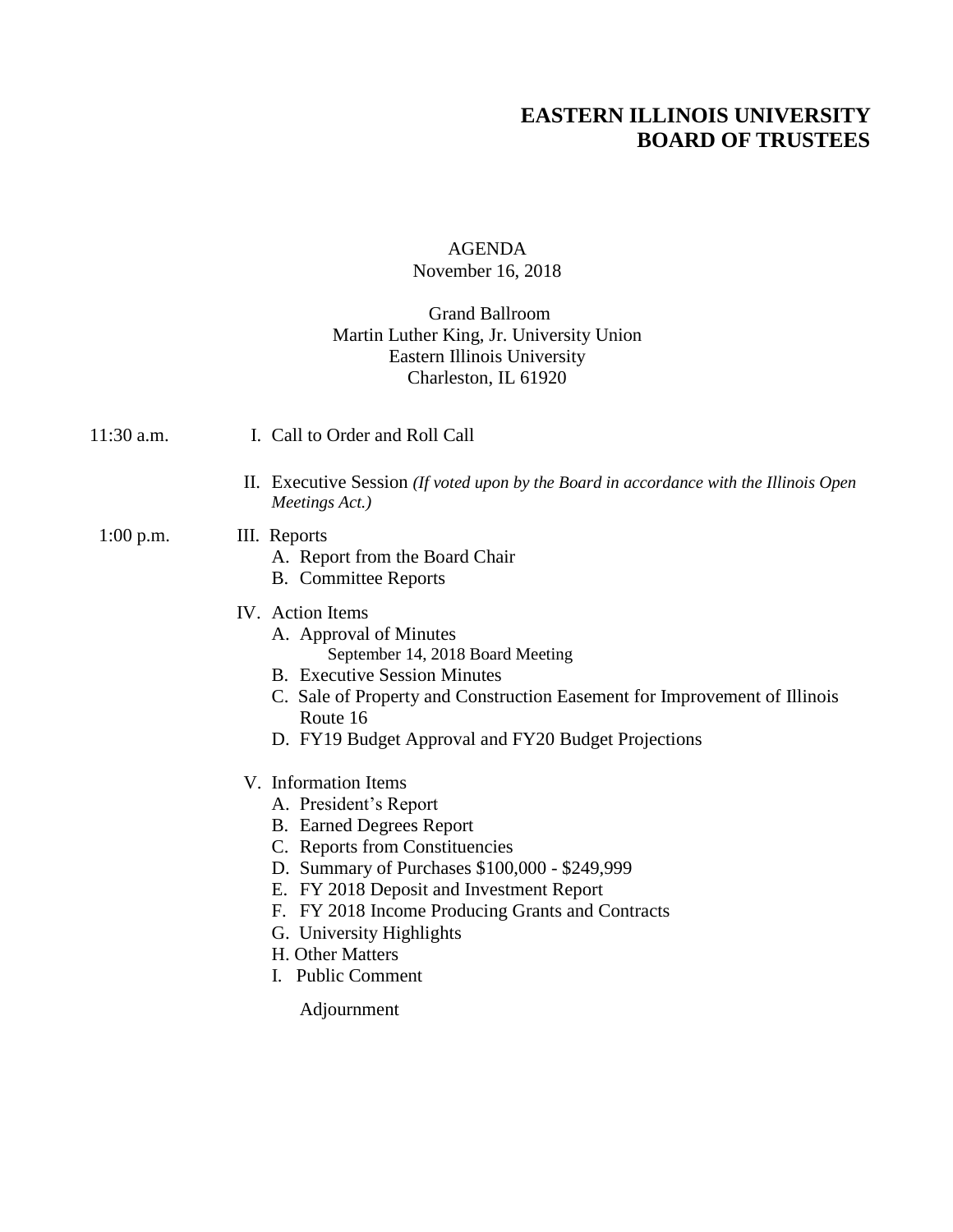# **EASTERN ILLINOIS UNIVERSITY BOARD OF TRUSTEES**

# AGENDA November 16, 2018

## Grand Ballroom Martin Luther King, Jr. University Union Eastern Illinois University Charleston, IL 61920

- 11:30 a.m. I. Call to Order and Roll Call
	- II. Executive Session *(If voted upon by the Board in accordance with the Illinois Open Meetings Act.)*
- 1:00 p.m. III. Reports
	- - A. Report from the Board Chair
		- B. Committee Reports
	- IV. Action Items
		- A. Approval of Minutes September 14, 2018 Board Meeting
		- B. Executive Session Minutes
		- C. Sale of Property and Construction Easement for Improvement of Illinois Route 16
		- D. FY19 Budget Approval and FY20 Budget Projections
	- V. Information Items
		- A. President's Report
		- B. Earned Degrees Report
		- C. Reports from Constituencies
		- D. Summary of Purchases \$100,000 \$249,999
		- E. FY 2018 Deposit and Investment Report
		- F. FY 2018 Income Producing Grants and Contracts
		- G. University Highlights
		- H. Other Matters
		- I. Public Comment

Adjournment